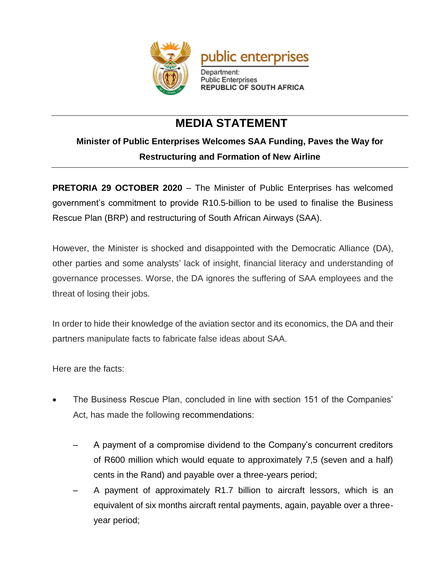

## **MEDIA STATEMENT**

## **Minister of Public Enterprises Welcomes SAA Funding, Paves the Way for Restructuring and Formation of New Airline**

**PRETORIA 29 OCTOBER 2020** – The Minister of Public Enterprises has welcomed government's commitment to provide R10.5-billion to be used to finalise the Business Rescue Plan (BRP) and restructuring of South African Airways (SAA).

However, the Minister is shocked and disappointed with the Democratic Alliance (DA), other parties and some analysts' lack of insight, financial literacy and understanding of governance processes. Worse, the DA ignores the suffering of SAA employees and the threat of losing their jobs.

In order to hide their knowledge of the aviation sector and its economics, the DA and their partners manipulate facts to fabricate false ideas about SAA.

Here are the facts:

- The Business Rescue Plan, concluded in line with section 151 of the Companies' Act, has made the following recommendations:
	- A payment of a compromise dividend to the Company's concurrent creditors of R600 million which would equate to approximately 7,5 (seven and a half) cents in the Rand) and payable over a three-years period;
	- ‒ A payment of approximately R1.7 billion to aircraft lessors, which is an equivalent of six months aircraft rental payments, again, payable over a threeyear period;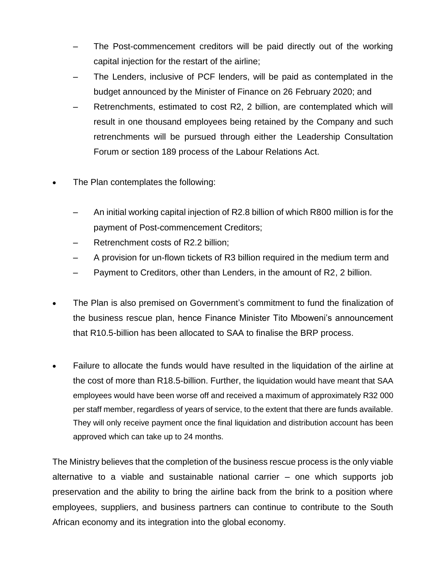- The Post-commencement creditors will be paid directly out of the working capital injection for the restart of the airline;
- The Lenders, inclusive of PCF lenders, will be paid as contemplated in the budget announced by the Minister of Finance on 26 February 2020; and
- ‒ Retrenchments, estimated to cost R2, 2 billion, are contemplated which will result in one thousand employees being retained by the Company and such retrenchments will be pursued through either the Leadership Consultation Forum or section 189 process of the Labour Relations Act.
- The Plan contemplates the following:
	- ‒ An initial working capital injection of R2.8 billion of which R800 million is for the payment of Post-commencement Creditors;
	- ‒ Retrenchment costs of R2.2 billion;
	- ‒ A provision for un-flown tickets of R3 billion required in the medium term and
	- ‒ Payment to Creditors, other than Lenders, in the amount of R2, 2 billion.
- The Plan is also premised on Government's commitment to fund the finalization of the business rescue plan, hence Finance Minister Tito Mboweni's announcement that R10.5-billion has been allocated to SAA to finalise the BRP process.
- Failure to allocate the funds would have resulted in the liquidation of the airline at the cost of more than R18.5-billion. Further, the liquidation would have meant that SAA employees would have been worse off and received a maximum of approximately R32 000 per staff member, regardless of years of service, to the extent that there are funds available. They will only receive payment once the final liquidation and distribution account has been approved which can take up to 24 months.

The Ministry believes that the completion of the business rescue process is the only viable alternative to a viable and sustainable national carrier – one which supports job preservation and the ability to bring the airline back from the brink to a position where employees, suppliers, and business partners can continue to contribute to the South African economy and its integration into the global economy.